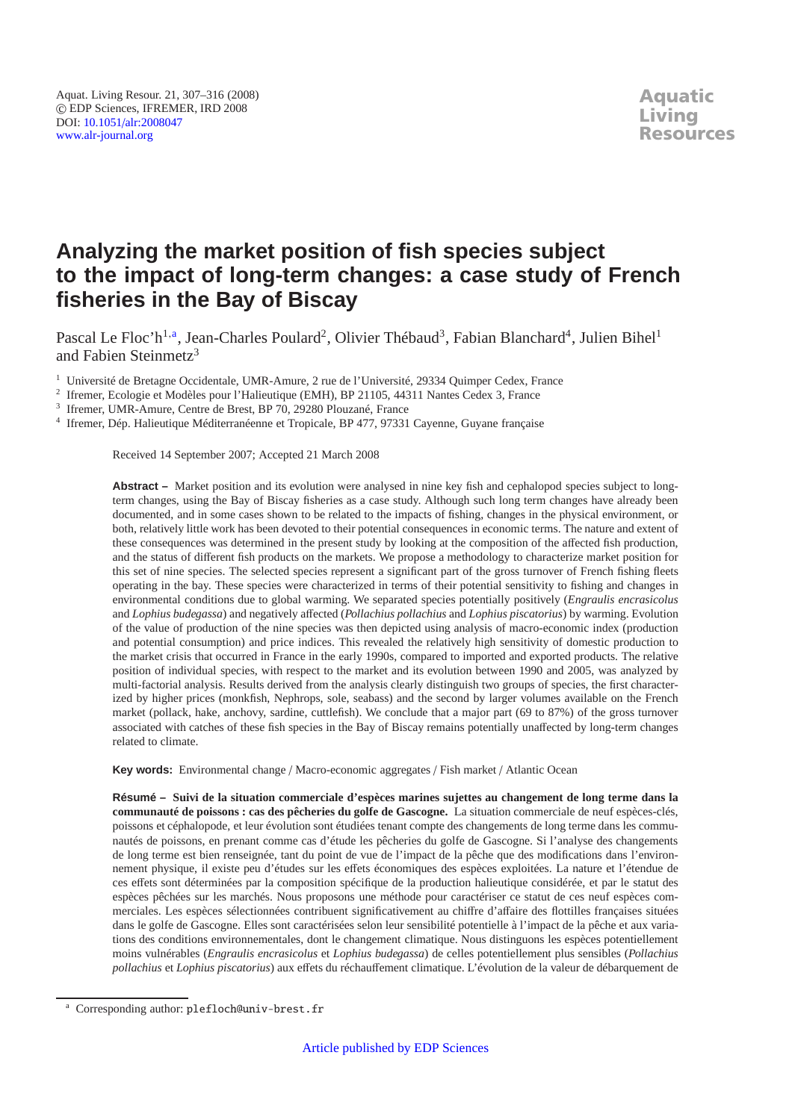# **Analyzing the market position of fish species subject to the impact of long-term changes: a case study of French fisheries in the Bay of Biscay**

Pascal Le Floc'h<sup>1,a</sup>, Jean-Charles Poulard<sup>2</sup>, Olivier Thébaud<sup>3</sup>, Fabian Blanchard<sup>4</sup>, Julien Bihel<sup>1</sup> and Fabien Steinmetz<sup>3</sup>

<sup>1</sup> Université de Bretagne Occidentale, UMR-Amure, 2 rue de l'Université, 29334 Quimper Cedex, France

<sup>2</sup> Ifremer, Ecologie et Modèles pour l'Halieutique (EMH), BP 21105, 44311 Nantes Cedex 3, France

<sup>3</sup> Ifremer, UMR-Amure, Centre de Brest, BP 70, 29280 Plouzané, France

<sup>4</sup> Ifremer, Dép. Halieutique Méditerranéenne et Tropicale, BP 477, 97331 Cayenne, Guyane française

Received 14 September 2007; Accepted 21 March 2008

**Abstract –** Market position and its evolution were analysed in nine key fish and cephalopod species subject to longterm changes, using the Bay of Biscay fisheries as a case study. Although such long term changes have already been documented, and in some cases shown to be related to the impacts of fishing, changes in the physical environment, or both, relatively little work has been devoted to their potential consequences in economic terms. The nature and extent of these consequences was determined in the present study by looking at the composition of the affected fish production, and the status of different fish products on the markets. We propose a methodology to characterize market position for this set of nine species. The selected species represent a significant part of the gross turnover of French fishing fleets operating in the bay. These species were characterized in terms of their potential sensitivity to fishing and changes in environmental conditions due to global warming. We separated species potentially positively (*Engraulis encrasicolus* and *Lophius budegassa*) and negatively affected (*Pollachius pollachius* and *Lophius piscatorius*) by warming. Evolution of the value of production of the nine species was then depicted using analysis of macro-economic index (production and potential consumption) and price indices. This revealed the relatively high sensitivity of domestic production to the market crisis that occurred in France in the early 1990s, compared to imported and exported products. The relative position of individual species, with respect to the market and its evolution between 1990 and 2005, was analyzed by multi-factorial analysis. Results derived from the analysis clearly distinguish two groups of species, the first characterized by higher prices (monkfish, Nephrops, sole, seabass) and the second by larger volumes available on the French market (pollack, hake, anchovy, sardine, cuttlefish). We conclude that a major part (69 to 87%) of the gross turnover associated with catches of these fish species in the Bay of Biscay remains potentially unaffected by long-term changes related to climate.

**Key words:** Environmental change / Macro-economic aggregates / Fish market / Atlantic Ocean

**Résumé – Suivi de la situation commerciale d'espèces marines sujettes au changement de long terme dans la communauté de poissons : cas des pêcheries du golfe de Gascogne.** La situation commerciale de neuf espèces-clés, poissons et céphalopode, et leur évolution sont étudiées tenant compte des changements de long terme dans les communautés de poissons, en prenant comme cas d'étude les pêcheries du golfe de Gascogne. Si l'analyse des changements de long terme est bien renseignée, tant du point de vue de l'impact de la pêche que des modifications dans l'environnement physique, il existe peu d'études sur les effets économiques des espèces exploitées. La nature et l'étendue de ces effets sont déterminées par la composition spécifique de la production halieutique considérée, et par le statut des espèces pêchées sur les marchés. Nous proposons une méthode pour caractériser ce statut de ces neuf espèces commerciales. Les espèces sélectionnées contribuent significativement au chiffre d'affaire des flottilles françaises situées dans le golfe de Gascogne. Elles sont caractérisées selon leur sensibilité potentielle à l'impact de la pêche et aux variations des conditions environnementales, dont le changement climatique. Nous distinguons les espèces potentiellement moins vulnérables (*Engraulis encrasicolus* et *Lophius budegassa*) de celles potentiellement plus sensibles (*Pollachius pollachius* et *Lophius piscatorius*) aux effets du réchauffement climatique. L'évolution de la valeur de débarquement de

<sup>a</sup> Corresponding author: plefloch@univ-brest.fr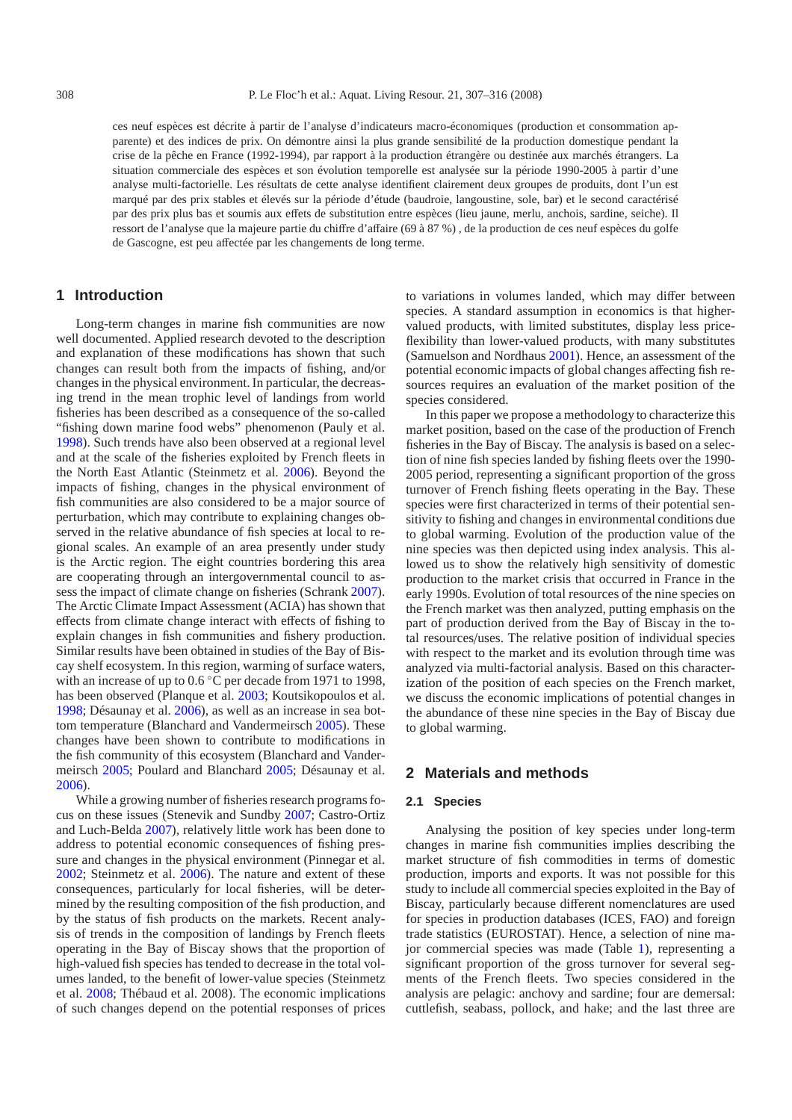ces neuf espèces est décrite à partir de l'analyse d'indicateurs macro-économiques (production et consommation apparente) et des indices de prix. On démontre ainsi la plus grande sensibilité de la production domestique pendant la crise de la pêche en France (1992-1994), par rapport à la production étrangère ou destinée aux marchés étrangers. La situation commerciale des espèces et son évolution temporelle est analysée sur la période 1990-2005 à partir d'une analyse multi-factorielle. Les résultats de cette analyse identifient clairement deux groupes de produits, dont l'un est marqué par des prix stables et élevés sur la période d'étude (baudroie, langoustine, sole, bar) et le second caractérisé par des prix plus bas et soumis aux effets de substitution entre espèces (lieu jaune, merlu, anchois, sardine, seiche). Il ressort de l'analyse que la majeure partie du chiffre d'affaire (69 à 87 %) , de la production de ces neuf espèces du golfe de Gascogne, est peu affectée par les changements de long terme.

## **1 Introduction**

Long-term changes in marine fish communities are now well documented. Applied research devoted to the description and explanation of these modifications has shown that such changes can result both from the impacts of fishing, and/or changes in the physical environment. In particular, the decreasing trend in the mean trophic level of landings from world fisheries has been described as a consequence of the so-called "fishing down marine food webs" phenomenon (Pauly et al. [1998](#page-9-0)). Such trends have also been observed at a regional level and at the scale of the fisheries exploited by French fleets in the North East Atlantic (Steinmetz et al. [2006](#page-9-1)). Beyond the impacts of fishing, changes in the physical environment of fish communities are also considered to be a major source of perturbation, which may contribute to explaining changes observed in the relative abundance of fish species at local to regional scales. An example of an area presently under study is the Arctic region. The eight countries bordering this area are cooperating through an intergovernmental council to assess the impact of climate change on fisheries (Schrank [2007\)](#page-9-2). The Arctic Climate Impact Assessment (ACIA) has shown that effects from climate change interact with effects of fishing to explain changes in fish communities and fishery production. Similar results have been obtained in studies of the Bay of Biscay shelf ecosystem. In this region, warming of surface waters, with an increase of up to 0.6 °C per decade from 1971 to 1998, has been observed (Planque et al. [2003;](#page-9-3) Koutsikopoulos et al. [1998](#page-9-4); Désaunay et al. [2006\)](#page-8-0), as well as an increase in sea bottom temperature (Blanchard and Vandermeirsch [2005](#page-8-1)). These changes have been shown to contribute to modifications in the fish community of this ecosystem (Blanchard and Vandermeirsch [2005](#page-8-1); Poulard and Blanchard [2005;](#page-9-5) Désaunay et al. [2006](#page-8-0)).

While a growing number of fisheries research programs focus on these issues (Stenevik and Sundby [2007;](#page-9-6) Castro-Ortiz and Luch-Belda [2007](#page-8-2)), relatively little work has been done to address to potential economic consequences of fishing pressure and changes in the physical environment (Pinnegar et al. [2002](#page-9-7); Steinmetz et al. [2006](#page-9-1)). The nature and extent of these consequences, particularly for local fisheries, will be determined by the resulting composition of the fish production, and by the status of fish products on the markets. Recent analysis of trends in the composition of landings by French fleets operating in the Bay of Biscay shows that the proportion of high-valued fish species has tended to decrease in the total volumes landed, to the benefit of lower-value species (Steinmetz et al. [2008;](#page-9-8) Thébaud et al. 2008). The economic implications of such changes depend on the potential responses of prices

to variations in volumes landed, which may differ between species. A standard assumption in economics is that highervalued products, with limited substitutes, display less priceflexibility than lower-valued products, with many substitutes (Samuelson and Nordhaus [2001](#page-9-9)). Hence, an assessment of the potential economic impacts of global changes affecting fish resources requires an evaluation of the market position of the species considered.

In this paper we propose a methodology to characterize this market position, based on the case of the production of French fisheries in the Bay of Biscay. The analysis is based on a selection of nine fish species landed by fishing fleets over the 1990- 2005 period, representing a significant proportion of the gross turnover of French fishing fleets operating in the Bay. These species were first characterized in terms of their potential sensitivity to fishing and changes in environmental conditions due to global warming. Evolution of the production value of the nine species was then depicted using index analysis. This allowed us to show the relatively high sensitivity of domestic production to the market crisis that occurred in France in the early 1990s. Evolution of total resources of the nine species on the French market was then analyzed, putting emphasis on the part of production derived from the Bay of Biscay in the total resources/uses. The relative position of individual species with respect to the market and its evolution through time was analyzed via multi-factorial analysis. Based on this characterization of the position of each species on the French market, we discuss the economic implications of potential changes in the abundance of these nine species in the Bay of Biscay due to global warming.

## **2 Materials and methods**

### **2.1 Species**

Analysing the position of key species under long-term changes in marine fish communities implies describing the market structure of fish commodities in terms of domestic production, imports and exports. It was not possible for this study to include all commercial species exploited in the Bay of Biscay, particularly because different nomenclatures are used for species in production databases (ICES, FAO) and foreign trade statistics (EUROSTAT). Hence, a selection of nine major commercial species was made (Table [1\)](#page-2-0), representing a significant proportion of the gross turnover for several segments of the French fleets. Two species considered in the analysis are pelagic: anchovy and sardine; four are demersal: cuttlefish, seabass, pollock, and hake; and the last three are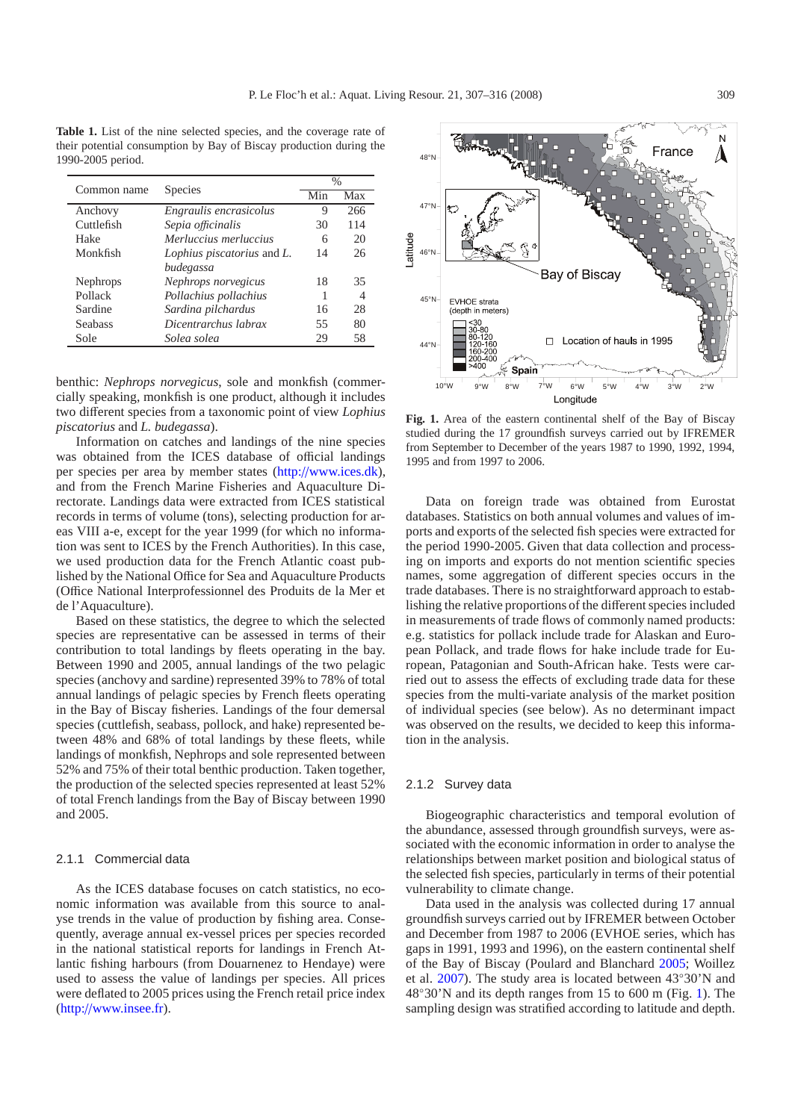<span id="page-2-0"></span>**Table 1.** List of the nine selected species, and the coverage rate of their potential consumption by Bay of Biscay production during the 1990-2005 period.

|                 |                            | $\%$                       |     |
|-----------------|----------------------------|----------------------------|-----|
| Common name     | <b>Species</b>             | $\overline{\mathrm{M}}$ in | Max |
| Anchovy         | Engraulis encrasicolus     | 9                          | 266 |
| Cuttlefish      | Sepia officinalis          | 30                         | 114 |
| Hake            | Merluccius merluccius      | 6                          | 20  |
| Monkfish        | Lophius piscatorius and L. | 14                         | 26  |
|                 | budegassa                  |                            |     |
| <b>Nephrops</b> | Nephrops norvegicus        | 18                         | 35  |
| Pollack         | Pollachius pollachius      | 1                          | 4   |
| Sardine         | Sardina pilchardus         | 16                         | 28  |
| <b>Seabass</b>  | Dicentrarchus labrax       | 55                         | 80  |
| Sole            | Solea solea                | 29                         | 58  |

benthic: *Nephrops norvegicus*, sole and monkfish (commercially speaking, monkfish is one product, although it includes two different species from a taxonomic point of view *Lophius piscatorius* and *L. budegassa*).

Information on catches and landings of the nine species was obtained from the ICES database of official landings per species per area by member states (http://[www.ices.dk\)](http://www.ices.dk), and from the French Marine Fisheries and Aquaculture Directorate. Landings data were extracted from ICES statistical records in terms of volume (tons), selecting production for areas VIII a-e, except for the year 1999 (for which no information was sent to ICES by the French Authorities). In this case, we used production data for the French Atlantic coast published by the National Office for Sea and Aquaculture Products (Office National Interprofessionnel des Produits de la Mer et de l'Aquaculture).

Based on these statistics, the degree to which the selected species are representative can be assessed in terms of their contribution to total landings by fleets operating in the bay. Between 1990 and 2005, annual landings of the two pelagic species (anchovy and sardine) represented 39% to 78% of total annual landings of pelagic species by French fleets operating in the Bay of Biscay fisheries. Landings of the four demersal species (cuttlefish, seabass, pollock, and hake) represented between 48% and 68% of total landings by these fleets, while landings of monkfish, Nephrops and sole represented between 52% and 75% of their total benthic production. Taken together, the production of the selected species represented at least 52% of total French landings from the Bay of Biscay between 1990 and 2005.

#### 2.1.1 Commercial data

As the ICES database focuses on catch statistics, no economic information was available from this source to analyse trends in the value of production by fishing area. Consequently, average annual ex-vessel prices per species recorded in the national statistical reports for landings in French Atlantic fishing harbours (from Douarnenez to Hendaye) were used to assess the value of landings per species. All prices were deflated to 2005 prices using the French retail price index (http://[www.insee.fr\)](http://www.insee.fr).

<span id="page-2-1"></span>France  $48<sup>°</sup>$ 47°N atitude  $46^{\circ}$ Bay of Biscay 45°N EVHOE strata (depth in meters) Location of hauls in 1995  $\Box$  $44^\circ$ Snain 10°W 9°W 8°W 7°W 6°W 5°W 4°W 3°W 2°W Longitude

**Fig. 1.** Area of the eastern continental shelf of the Bay of Biscay studied during the 17 groundfish surveys carried out by IFREMER from September to December of the years 1987 to 1990, 1992, 1994, 1995 and from 1997 to 2006.

Data on foreign trade was obtained from Eurostat databases. Statistics on both annual volumes and values of imports and exports of the selected fish species were extracted for the period 1990-2005. Given that data collection and processing on imports and exports do not mention scientific species names, some aggregation of different species occurs in the trade databases. There is no straightforward approach to establishing the relative proportions of the different species included in measurements of trade flows of commonly named products: e.g. statistics for pollack include trade for Alaskan and European Pollack, and trade flows for hake include trade for European, Patagonian and South-African hake. Tests were carried out to assess the effects of excluding trade data for these species from the multi-variate analysis of the market position of individual species (see below). As no determinant impact was observed on the results, we decided to keep this information in the analysis.

## 2.1.2 Survey data

Biogeographic characteristics and temporal evolution of the abundance, assessed through groundfish surveys, were associated with the economic information in order to analyse the relationships between market position and biological status of the selected fish species, particularly in terms of their potential vulnerability to climate change.

Data used in the analysis was collected during 17 annual groundfish surveys carried out by IFREMER between October and December from 1987 to 2006 (EVHOE series, which has gaps in 1991, 1993 and 1996), on the eastern continental shelf of the Bay of Biscay (Poulard and Blanchard [2005](#page-9-5); Woillez et al. [2007\)](#page-9-10). The study area is located between 43◦30'N and 48◦30'N and its depth ranges from 15 to 600 m (Fig. [1\)](#page-2-1). The sampling design was stratified according to latitude and depth.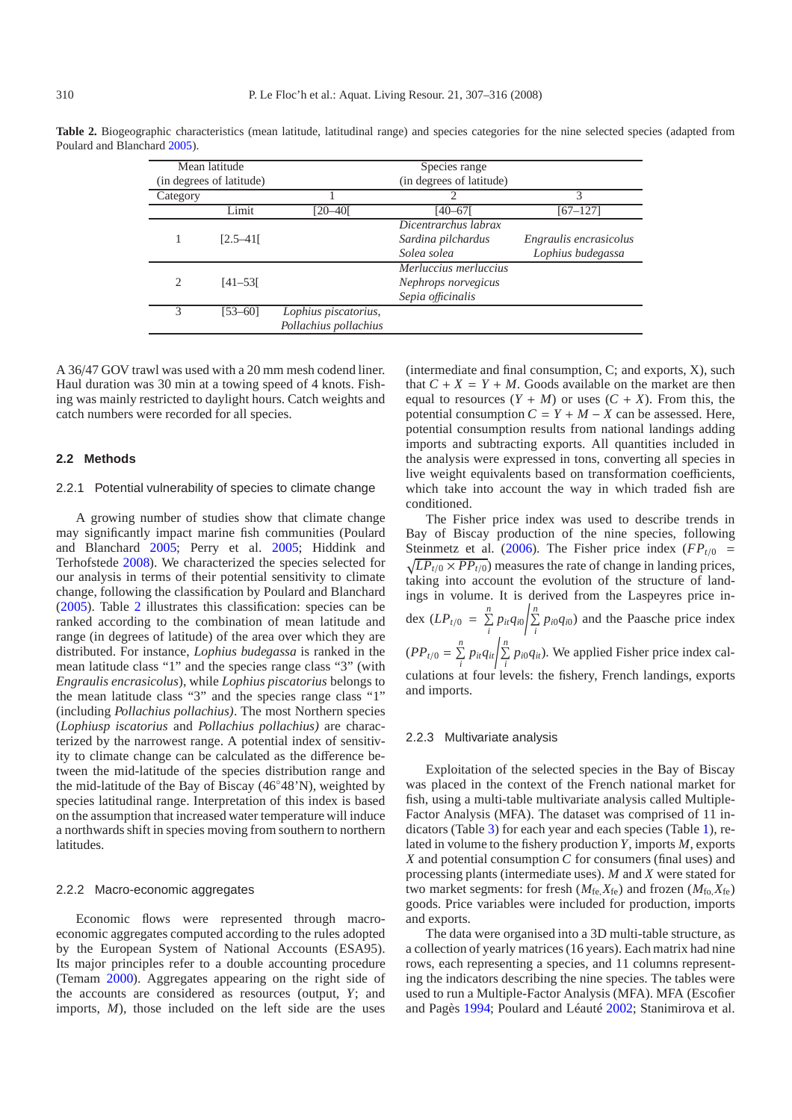|                | Mean latitude            |                       | Species range            |                        |
|----------------|--------------------------|-----------------------|--------------------------|------------------------|
|                | (in degrees of latitude) |                       | (in degrees of latitude) |                        |
| Category       |                          |                       | 2                        | 3                      |
|                | Limit                    | [20–40]               | $[40 - 67]$              | $[67 - 127]$           |
|                |                          |                       | Dicentrarchus labrax     |                        |
|                | $[2.5-41]$               |                       | Sardina pilchardus       | Engraulis encrasicolus |
|                |                          |                       | Solea solea              | Lophius budegassa      |
|                |                          |                       | Merluccius merluccius    |                        |
| $\overline{c}$ | $[41 - 53]$              |                       | Nephrops norvegicus      |                        |
|                |                          |                       | Sepia officinalis        |                        |
| 3              | [53–60]                  | Lophius piscatorius,  |                          |                        |
|                |                          | Pollachius pollachius |                          |                        |

<span id="page-3-0"></span>Table 2. Biogeographic characteristics (mean latitude, latitudinal range) and species categories for the nine selected species (adapted from Poulard and Blanchard [2005](#page-9-5)).

A 36/47 GOV trawl was used with a 20 mm mesh codend liner. Haul duration was 30 min at a towing speed of 4 knots. Fishing was mainly restricted to daylight hours. Catch weights and catch numbers were recorded for all species.

## **2.2 Methods**

## 2.2.1 Potential vulnerability of species to climate change

A growing number of studies show that climate change may significantly impact marine fish communities (Poulard and Blanchard [2005;](#page-9-5) Perry et al. [2005;](#page-9-11) Hiddink and Terhofstede [2008\)](#page-8-3). We characterized the species selected for our analysis in terms of their potential sensitivity to climate change, following the classification by Poulard and Blanchard [\(2005\)](#page-9-5). Table [2](#page-3-0) illustrates this classification: species can be ranked according to the combination of mean latitude and range (in degrees of latitude) of the area over which they are distributed. For instance, *Lophius budegassa* is ranked in the mean latitude class "1" and the species range class "3" (with *Engraulis encrasicolus*), while *Lophius piscatorius* belongs to the mean latitude class "3" and the species range class "1" (including *Pollachius pollachius)*. The most Northern species (*Lophiusp iscatorius* and *Pollachius pollachius)* are characterized by the narrowest range. A potential index of sensitivity to climate change can be calculated as the difference between the mid-latitude of the species distribution range and the mid-latitude of the Bay of Biscay (46◦48'N), weighted by species latitudinal range. Interpretation of this index is based on the assumption that increased water temperature will induce a northwards shift in species moving from southern to northern latitudes.

### 2.2.2 Macro-economic aggregates

Economic flows were represented through macroeconomic aggregates computed according to the rules adopted by the European System of National Accounts (ESA95). Its major principles refer to a double accounting procedure (Temam [2000\)](#page-9-12). Aggregates appearing on the right side of the accounts are considered as resources (output, *Y*; and imports, *M*), those included on the left side are the uses (intermediate and final consumption, C; and exports, X), such that  $C + X = Y + M$ . Goods available on the market are then equal to resources  $(Y + M)$  or uses  $(C + X)$ . From this, the potential consumption  $C = Y + M - X$  can be assessed. Here, potential consumption results from national landings adding imports and subtracting exports. All quantities included in the analysis were expressed in tons, converting all species in live weight equivalents based on transformation coefficients, which take into account the way in which traded fish are conditioned.

The Fisher price index was used to describe trends in Bay of Biscay production of the nine species, following Steinmetz et al. [\(2006\)](#page-9-1). The Fisher price index  $(FP_{t/0}$  =  $\sqrt{LP_{t/0} \times PP_{t/0}}$  measures the rate of change in landing prices, taking into account the evolution of the structure of landings in volume. It is derived from the Laspeyres price index  $(LP_{t/0} = \sum_{i}^{n} p_{i}q_{i0} / \sum_{i}^{n} p_{i0}q_{i0})$  and the Paasche price index  $(PP_{t/0} = \sum_{i}^{n} p_{i}q_{i} \bigg| \sum_{i}^{n} p_{i0}q_{i}$ . We applied Fisher price index calculations at four levels: the fishery, French landings, exports and imports.

### 2.2.3 Multivariate analysis

Exploitation of the selected species in the Bay of Biscay was placed in the context of the French national market for fish, using a multi-table multivariate analysis called Multiple-Factor Analysis (MFA). The dataset was comprised of 11 indicators (Table [3\)](#page-4-0) for each year and each species (Table [1\)](#page-2-0), related in volume to the fishery production *Y*, imports *M*, exports *X* and potential consumption *C* for consumers (final uses) and processing plants (intermediate uses). *M* and *X* were stated for two market segments: for fresh  $(M_{\text{fe}}X_{\text{fe}})$  and frozen  $(M_{\text{fo}}X_{\text{fe}})$ goods. Price variables were included for production, imports and exports.

The data were organised into a 3D multi-table structure, as a collection of yearly matrices (16 years). Each matrix had nine rows, each representing a species, and 11 columns representing the indicators describing the nine species. The tables were used to run a Multiple-Factor Analysis (MFA). MFA (Escofier and Pagès [1994;](#page-8-4) Poulard and Léauté [2002;](#page-9-13) Stanimirova et al.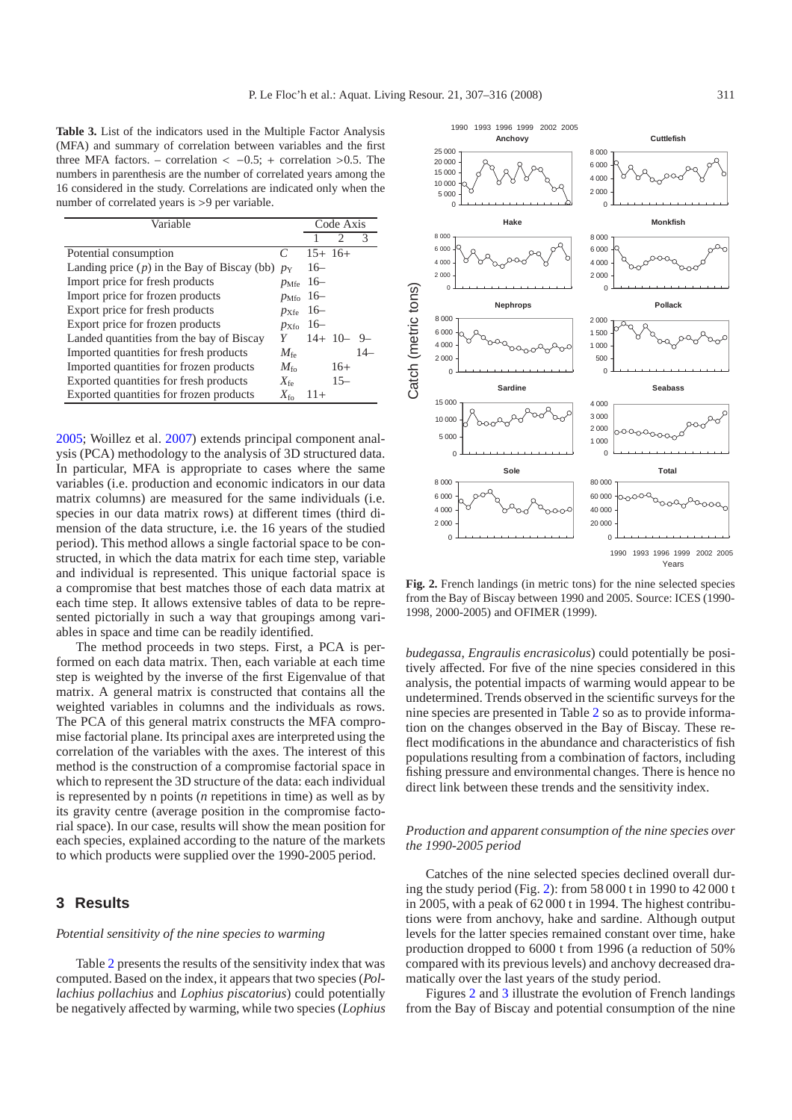<span id="page-4-0"></span>**Table 3.** List of the indicators used in the Multiple Factor Analysis (MFA) and summary of correlation between variables and the first three MFA factors. – correlation < -0.5; + correlation >0.5. The numbers in parenthesis are the number of correlated years among the 16 considered in the study. Correlations are indicated only when the number of correlated years is >9 per variable.

| Variable                                            |                 |       | Code Axis  |     |  |
|-----------------------------------------------------|-----------------|-------|------------|-----|--|
|                                                     |                 |       | っ          |     |  |
| Potential consumption                               |                 |       | $15+16+$   |     |  |
| Landing price $(p)$ in the Bay of Biscay (bb) $p_Y$ |                 | $16-$ |            |     |  |
| Import price for fresh products                     | $p_{\rm Mfe}$   | $16-$ |            |     |  |
| Import price for frozen products                    | $p_{\rm Mfo}$   | $16-$ |            |     |  |
| Export price for fresh products                     | $p_{Xfe}$       | $16-$ |            |     |  |
| Export price for frozen products                    | $p_{Xf}$        | $16-$ |            |     |  |
| Landed quantities from the bay of Biscay            |                 |       | $14+10-9-$ |     |  |
| Imported quantities for fresh products              | $M_{\text{fe}}$ |       |            | 14– |  |
| Imported quantities for frozen products             | $M_{\rm fo}$    |       | $16+$      |     |  |
| Exported quantities for fresh products              | $X_{\rm fe}$    |       | $15 -$     |     |  |
| Exported quantities for frozen products             | $X_{\rm fo}$    | 11+   |            |     |  |

[2005](#page-9-14); Woillez et al. [2007](#page-9-10)) extends principal component analysis (PCA) methodology to the analysis of 3D structured data. In particular, MFA is appropriate to cases where the same variables (i.e. production and economic indicators in our data matrix columns) are measured for the same individuals (i.e. species in our data matrix rows) at different times (third dimension of the data structure, i.e. the 16 years of the studied period). This method allows a single factorial space to be constructed, in which the data matrix for each time step, variable and individual is represented. This unique factorial space is a compromise that best matches those of each data matrix at each time step. It allows extensive tables of data to be represented pictorially in such a way that groupings among variables in space and time can be readily identified.

The method proceeds in two steps. First, a PCA is performed on each data matrix. Then, each variable at each time step is weighted by the inverse of the first Eigenvalue of that matrix. A general matrix is constructed that contains all the weighted variables in columns and the individuals as rows. The PCA of this general matrix constructs the MFA compromise factorial plane. Its principal axes are interpreted using the correlation of the variables with the axes. The interest of this method is the construction of a compromise factorial space in which to represent the 3D structure of the data: each individual is represented by n points (*n* repetitions in time) as well as by its gravity centre (average position in the compromise factorial space). In our case, results will show the mean position for each species, explained according to the nature of the markets to which products were supplied over the 1990-2005 period.

## **3 Results**

## *Potential sensitivity of the nine species to warming*

Table [2](#page-3-0) presents the results of the sensitivity index that was computed. Based on the index, it appears that two species (*Pollachius pollachius* and *Lophius piscatorius*) could potentially be negatively affected by warming, while two species (*Lophius*



<span id="page-4-1"></span>**Fig. 2.** French landings (in metric tons) for the nine selected species from the Bay of Biscay between 1990 and 2005. Source: ICES (1990- 1998, 2000-2005) and OFIMER (1999).

*budegassa*, *Engraulis encrasicolus*) could potentially be positively affected. For five of the nine species considered in this analysis, the potential impacts of warming would appear to be undetermined. Trends observed in the scientific surveys for the nine species are presented in Table [2](#page-3-0) so as to provide information on the changes observed in the Bay of Biscay. These reflect modifications in the abundance and characteristics of fish populations resulting from a combination of factors, including fishing pressure and environmental changes. There is hence no direct link between these trends and the sensitivity index.

## *Production and apparent consumption of the nine species over the 1990-2005 period*

Catches of the nine selected species declined overall during the study period (Fig. [2\)](#page-4-1): from 58 000 t in 1990 to 42 000 t in 2005, with a peak of 62 000 t in 1994. The highest contributions were from anchovy, hake and sardine. Although output levels for the latter species remained constant over time, hake production dropped to 6000 t from 1996 (a reduction of 50% compared with its previous levels) and anchovy decreased dramatically over the last years of the study period.

Figures [2](#page-4-1) and [3](#page-5-0) illustrate the evolution of French landings from the Bay of Biscay and potential consumption of the nine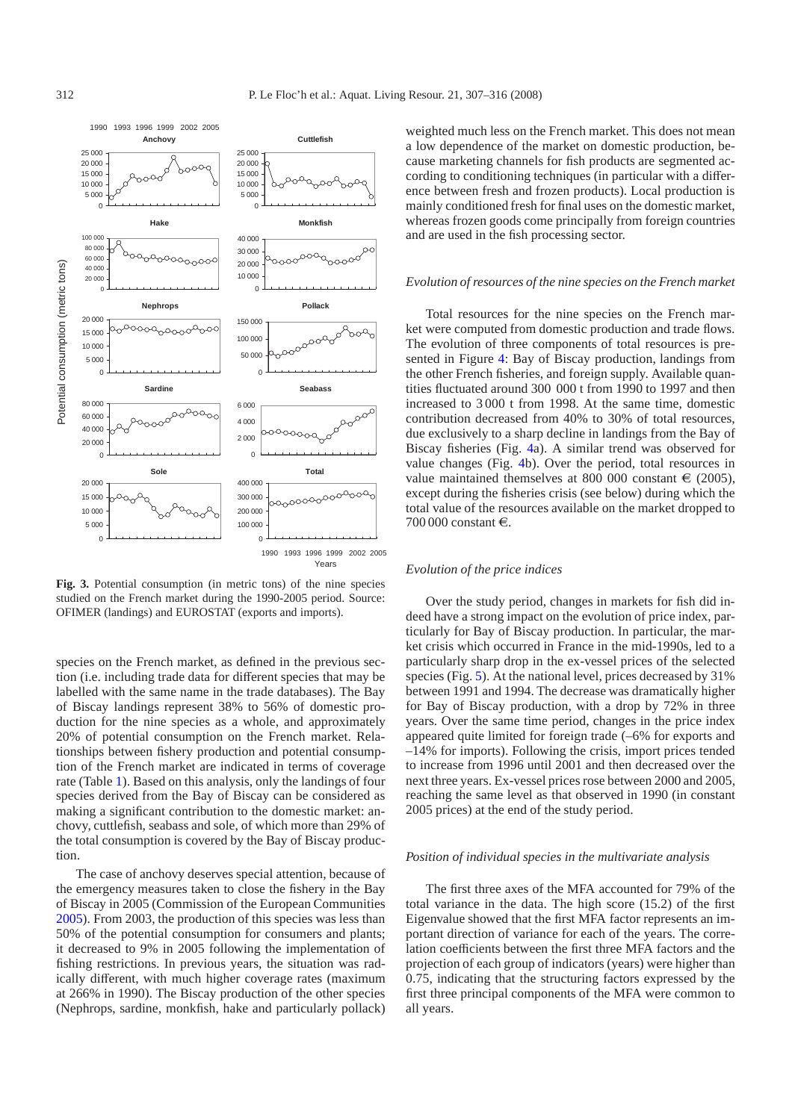

<span id="page-5-0"></span>**Fig. 3.** Potential consumption (in metric tons) of the nine species studied on the French market during the 1990-2005 period. Source: OFIMER (landings) and EUROSTAT (exports and imports).

species on the French market, as defined in the previous section (i.e. including trade data for different species that may be labelled with the same name in the trade databases). The Bay of Biscay landings represent 38% to 56% of domestic production for the nine species as a whole, and approximately 20% of potential consumption on the French market. Relationships between fishery production and potential consumption of the French market are indicated in terms of coverage rate (Table [1\)](#page-2-0). Based on this analysis, only the landings of four species derived from the Bay of Biscay can be considered as making a significant contribution to the domestic market: anchovy, cuttlefish, seabass and sole, of which more than 29% of the total consumption is covered by the Bay of Biscay production.

The case of anchovy deserves special attention, because of the emergency measures taken to close the fishery in the Bay of Biscay in 2005 (Commission of the European Communities [2005](#page-8-5)). From 2003, the production of this species was less than 50% of the potential consumption for consumers and plants; it decreased to 9% in 2005 following the implementation of fishing restrictions. In previous years, the situation was radically different, with much higher coverage rates (maximum at 266% in 1990). The Biscay production of the other species (Nephrops, sardine, monkfish, hake and particularly pollack)

weighted much less on the French market. This does not mean a low dependence of the market on domestic production, because marketing channels for fish products are segmented according to conditioning techniques (in particular with a difference between fresh and frozen products). Local production is mainly conditioned fresh for final uses on the domestic market, whereas frozen goods come principally from foreign countries and are used in the fish processing sector.

#### *Evolution of resources of the nine species on the French market*

Total resources for the nine species on the French market were computed from domestic production and trade flows. The evolution of three components of total resources is presented in Figure [4:](#page-6-0) Bay of Biscay production, landings from the other French fisheries, and foreign supply. Available quantities fluctuated around 300 000 t from 1990 to 1997 and then increased to 3 000 t from 1998. At the same time, domestic contribution decreased from 40% to 30% of total resources, due exclusively to a sharp decline in landings from the Bay of Biscay fisheries (Fig. [4a](#page-6-0)). A similar trend was observed for value changes (Fig. [4b](#page-6-0)). Over the period, total resources in value maintained themselves at 800 000 constant  $\in$  (2005), except during the fisheries crisis (see below) during which the total value of the resources available on the market dropped to 700 000 constant  $\epsilon$ .

#### *Evolution of the price indices*

Over the study period, changes in markets for fish did indeed have a strong impact on the evolution of price index, particularly for Bay of Biscay production. In particular, the market crisis which occurred in France in the mid-1990s, led to a particularly sharp drop in the ex-vessel prices of the selected species (Fig. [5\)](#page-6-1). At the national level, prices decreased by 31% between 1991 and 1994. The decrease was dramatically higher for Bay of Biscay production, with a drop by 72% in three years. Over the same time period, changes in the price index appeared quite limited for foreign trade (–6% for exports and –14% for imports). Following the crisis, import prices tended to increase from 1996 until 2001 and then decreased over the next three years. Ex-vessel prices rose between 2000 and 2005, reaching the same level as that observed in 1990 (in constant 2005 prices) at the end of the study period.

#### *Position of individual species in the multivariate analysis*

The first three axes of the MFA accounted for 79% of the total variance in the data. The high score (15.2) of the first Eigenvalue showed that the first MFA factor represents an important direction of variance for each of the years. The correlation coefficients between the first three MFA factors and the projection of each group of indicators (years) were higher than 0.75, indicating that the structuring factors expressed by the first three principal components of the MFA were common to all years.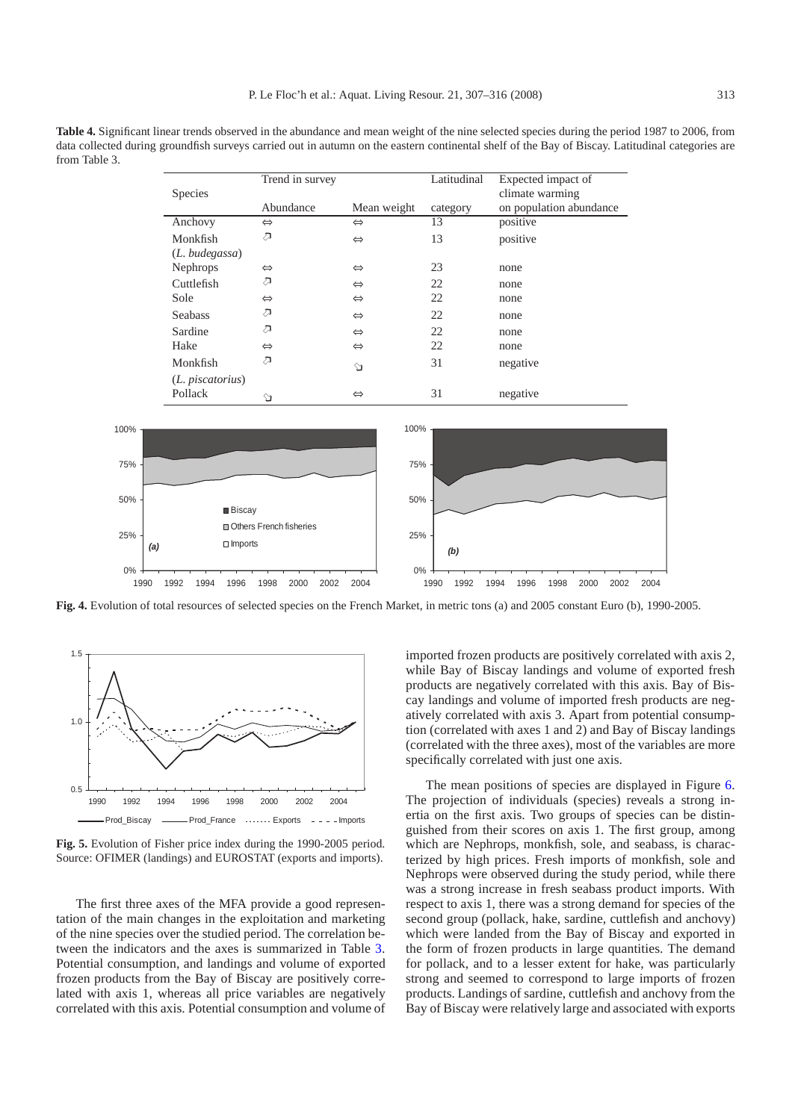**Table 4.** Significant linear trends observed in the abundance and mean weight of the nine selected species during the period 1987 to 2006, from data collected during groundfish surveys carried out in autumn on the eastern continental shelf of the Bay of Biscay. Latitudinal categories are from Table 3.

|                       | Trend in survey   |                   | Latitudinal | Expected impact of      |
|-----------------------|-------------------|-------------------|-------------|-------------------------|
| <b>Species</b>        |                   |                   |             | climate warming         |
|                       | Abundance         | Mean weight       | category    | on population abundance |
| Anchovy               | $\Leftrightarrow$ | $\Leftrightarrow$ | 13          | positive                |
| Monkfish              | ி                 | $\Leftrightarrow$ | 13          | positive                |
| (L. budegassa)        |                   |                   |             |                         |
| <b>Nephrops</b>       | $\Leftrightarrow$ | $\Leftrightarrow$ | 23          | none                    |
| Cuttlefish            | ி                 | $\Leftrightarrow$ | 22          | none                    |
| Sole                  | $\Leftrightarrow$ | $\Leftrightarrow$ | 22          | none                    |
| <b>Seabass</b>        | ி                 | $\Leftrightarrow$ | 22          | none                    |
| Sardine               | ி                 | $\Leftrightarrow$ | 22          | none                    |
| Hake                  | $\Leftrightarrow$ | $\Leftrightarrow$ | 22          | none                    |
| Monkfish              | ி                 | ⇘                 | 31          | negative                |
| $(L.$ piscatorius $)$ |                   |                   |             |                         |
| Pollack               | ⇘                 | $\Leftrightarrow$ | 31          | negative                |

<span id="page-6-0"></span>

**Fig. 4.** Evolution of total resources of selected species on the French Market, in metric tons (a) and 2005 constant Euro (b), 1990-2005.

<span id="page-6-1"></span>

**Fig. 5.** Evolution of Fisher price index during the 1990-2005 period. Source: OFIMER (landings) and EUROSTAT (exports and imports).

The first three axes of the MFA provide a good representation of the main changes in the exploitation and marketing of the nine species over the studied period. The correlation between the indicators and the axes is summarized in Table [3.](#page-4-0) Potential consumption, and landings and volume of exported frozen products from the Bay of Biscay are positively correlated with axis 1, whereas all price variables are negatively correlated with this axis. Potential consumption and volume of

imported frozen products are positively correlated with axis 2, while Bay of Biscay landings and volume of exported fresh products are negatively correlated with this axis. Bay of Biscay landings and volume of imported fresh products are negatively correlated with axis 3. Apart from potential consumption (correlated with axes 1 and 2) and Bay of Biscay landings (correlated with the three axes), most of the variables are more specifically correlated with just one axis.

The mean positions of species are displayed in Figure [6.](#page-7-0) The projection of individuals (species) reveals a strong inertia on the first axis. Two groups of species can be distinguished from their scores on axis 1. The first group, among which are Nephrops, monkfish, sole, and seabass, is characterized by high prices. Fresh imports of monkfish, sole and Nephrops were observed during the study period, while there was a strong increase in fresh seabass product imports. With respect to axis 1, there was a strong demand for species of the second group (pollack, hake, sardine, cuttlefish and anchovy) which were landed from the Bay of Biscay and exported in the form of frozen products in large quantities. The demand for pollack, and to a lesser extent for hake, was particularly strong and seemed to correspond to large imports of frozen products. Landings of sardine, cuttlefish and anchovy from the Bay of Biscay were relatively large and associated with exports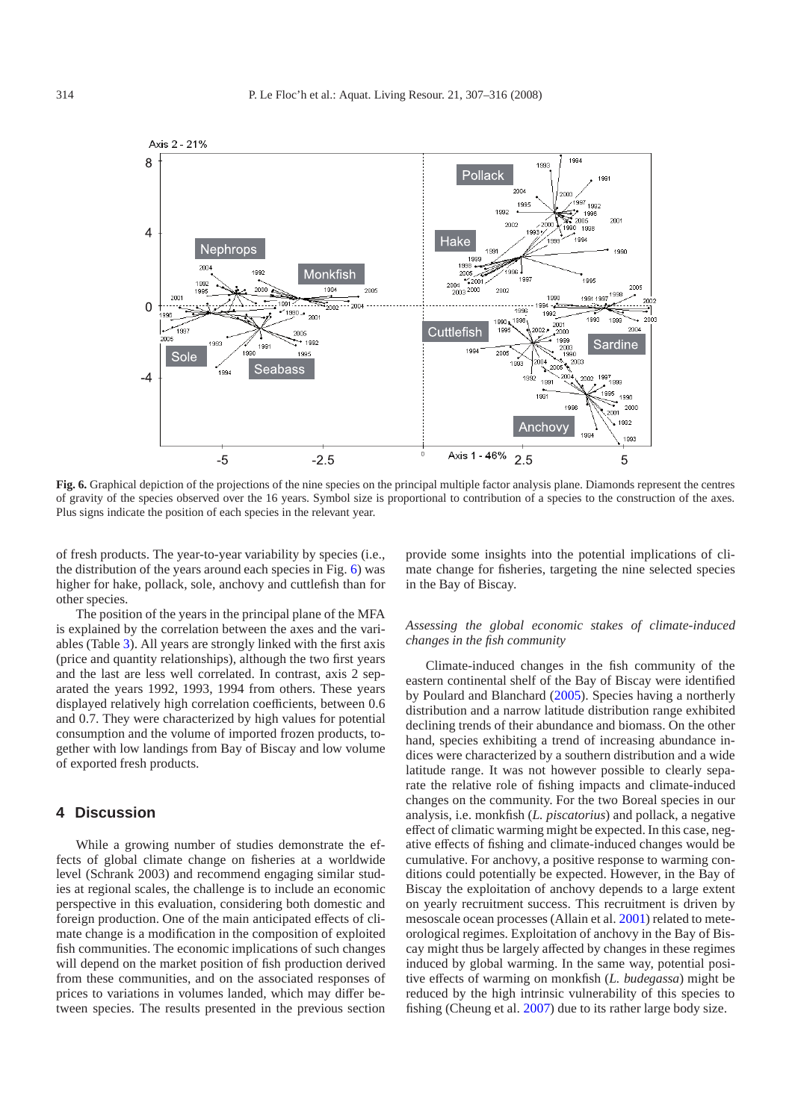

<span id="page-7-0"></span>**Fig. 6.** Graphical depiction of the projections of the nine species on the principal multiple factor analysis plane. Diamonds represent the centres of gravity of the species observed over the 16 years. Symbol size is proportional to contribution of a species to the construction of the axes. Plus signs indicate the position of each species in the relevant year.

of fresh products. The year-to-year variability by species (i.e., the distribution of the years around each species in Fig. [6\)](#page-7-0) was higher for hake, pollack, sole, anchovy and cuttlefish than for other species.

The position of the years in the principal plane of the MFA is explained by the correlation between the axes and the variables (Table [3\)](#page-4-0). All years are strongly linked with the first axis (price and quantity relationships), although the two first years and the last are less well correlated. In contrast, axis 2 separated the years 1992, 1993, 1994 from others. These years displayed relatively high correlation coefficients, between 0.6 and 0.7. They were characterized by high values for potential consumption and the volume of imported frozen products, together with low landings from Bay of Biscay and low volume of exported fresh products.

## **4 Discussion**

While a growing number of studies demonstrate the effects of global climate change on fisheries at a worldwide level (Schrank 2003) and recommend engaging similar studies at regional scales, the challenge is to include an economic perspective in this evaluation, considering both domestic and foreign production. One of the main anticipated effects of climate change is a modification in the composition of exploited fish communities. The economic implications of such changes will depend on the market position of fish production derived from these communities, and on the associated responses of prices to variations in volumes landed, which may differ between species. The results presented in the previous section

provide some insights into the potential implications of climate change for fisheries, targeting the nine selected species in the Bay of Biscay.

## *Assessing the global economic stakes of climate-induced changes in the fish community*

Climate-induced changes in the fish community of the eastern continental shelf of the Bay of Biscay were identified by Poulard and Blanchard [\(2005\)](#page-9-5). Species having a northerly distribution and a narrow latitude distribution range exhibited declining trends of their abundance and biomass. On the other hand, species exhibiting a trend of increasing abundance indices were characterized by a southern distribution and a wide latitude range. It was not however possible to clearly separate the relative role of fishing impacts and climate-induced changes on the community. For the two Boreal species in our analysis, i.e. monkfish (*L. piscatorius*) and pollack, a negative effect of climatic warming might be expected. In this case, negative effects of fishing and climate-induced changes would be cumulative. For anchovy, a positive response to warming conditions could potentially be expected. However, in the Bay of Biscay the exploitation of anchovy depends to a large extent on yearly recruitment success. This recruitment is driven by mesoscale ocean processes (Allain et al. [2001](#page-8-6)) related to meteorological regimes. Exploitation of anchovy in the Bay of Biscay might thus be largely affected by changes in these regimes induced by global warming. In the same way, potential positive effects of warming on monkfish (*L. budegassa*) might be reduced by the high intrinsic vulnerability of this species to fishing (Cheung et al. [2007](#page-8-7)) due to its rather large body size.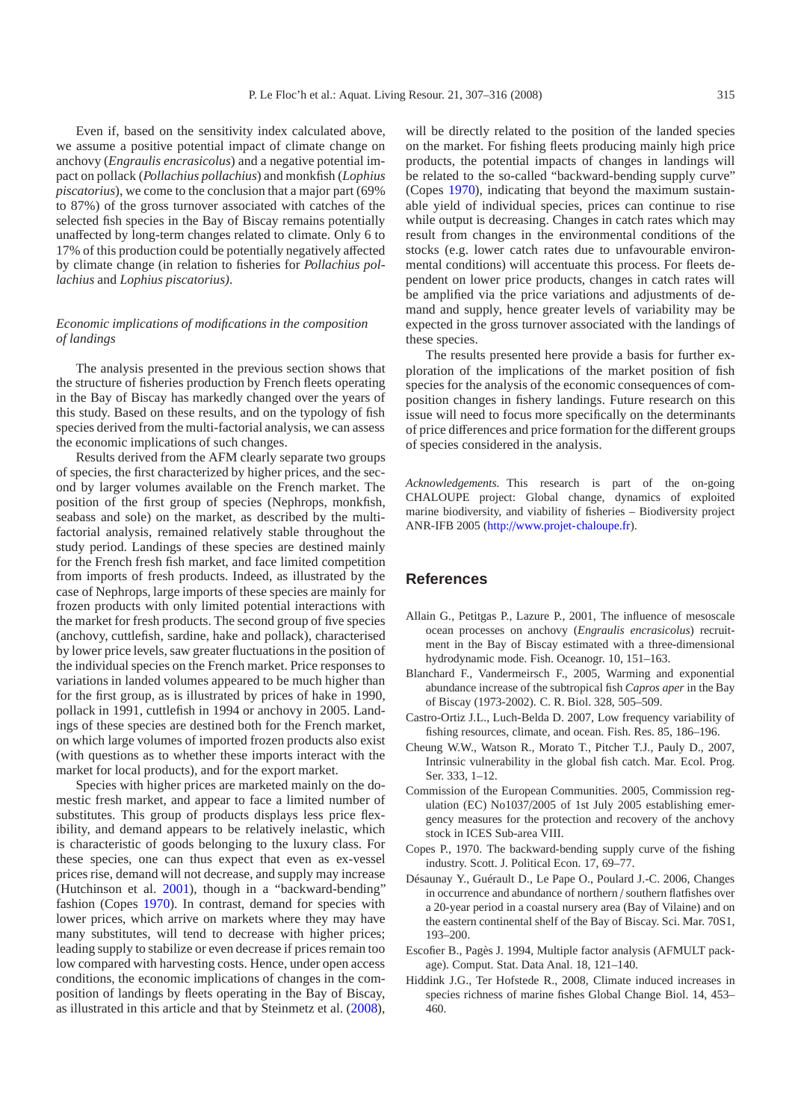Even if, based on the sensitivity index calculated above, we assume a positive potential impact of climate change on anchovy (*Engraulis encrasicolus*) and a negative potential impact on pollack (*Pollachius pollachius*) and monkfish (*Lophius piscatorius*), we come to the conclusion that a major part (69% to 87%) of the gross turnover associated with catches of the selected fish species in the Bay of Biscay remains potentially unaffected by long-term changes related to climate. Only 6 to 17% of this production could be potentially negatively affected by climate change (in relation to fisheries for *Pollachius pollachius* and *Lophius piscatorius)*.

## *Economic implications of modifications in the composition of landings*

The analysis presented in the previous section shows that the structure of fisheries production by French fleets operating in the Bay of Biscay has markedly changed over the years of this study. Based on these results, and on the typology of fish species derived from the multi-factorial analysis, we can assess the economic implications of such changes.

Results derived from the AFM clearly separate two groups of species, the first characterized by higher prices, and the second by larger volumes available on the French market. The position of the first group of species (Nephrops, monkfish, seabass and sole) on the market, as described by the multifactorial analysis, remained relatively stable throughout the study period. Landings of these species are destined mainly for the French fresh fish market, and face limited competition from imports of fresh products. Indeed, as illustrated by the case of Nephrops, large imports of these species are mainly for frozen products with only limited potential interactions with the market for fresh products. The second group of five species (anchovy, cuttlefish, sardine, hake and pollack), characterised by lower price levels, saw greater fluctuations in the position of the individual species on the French market. Price responses to variations in landed volumes appeared to be much higher than for the first group, as is illustrated by prices of hake in 1990, pollack in 1991, cuttlefish in 1994 or anchovy in 2005. Landings of these species are destined both for the French market, on which large volumes of imported frozen products also exist (with questions as to whether these imports interact with the market for local products), and for the export market.

Species with higher prices are marketed mainly on the domestic fresh market, and appear to face a limited number of substitutes. This group of products displays less price flexibility, and demand appears to be relatively inelastic, which is characteristic of goods belonging to the luxury class. For these species, one can thus expect that even as ex-vessel prices rise, demand will not decrease, and supply may increase (Hutchinson et al. [2001](#page-9-15)), though in a "backward-bending" fashion (Copes [1970\)](#page-8-8). In contrast, demand for species with lower prices, which arrive on markets where they may have many substitutes, will tend to decrease with higher prices; leading supply to stabilize or even decrease if prices remain too low compared with harvesting costs. Hence, under open access conditions, the economic implications of changes in the composition of landings by fleets operating in the Bay of Biscay, as illustrated in this article and that by Steinmetz et al. [\(2008\)](#page-9-8),

will be directly related to the position of the landed species on the market. For fishing fleets producing mainly high price products, the potential impacts of changes in landings will be related to the so-called "backward-bending supply curve" (Copes [1970\)](#page-8-8), indicating that beyond the maximum sustainable yield of individual species, prices can continue to rise while output is decreasing. Changes in catch rates which may result from changes in the environmental conditions of the stocks (e.g. lower catch rates due to unfavourable environmental conditions) will accentuate this process. For fleets dependent on lower price products, changes in catch rates will be amplified via the price variations and adjustments of demand and supply, hence greater levels of variability may be expected in the gross turnover associated with the landings of these species.

The results presented here provide a basis for further exploration of the implications of the market position of fish species for the analysis of the economic consequences of composition changes in fishery landings. Future research on this issue will need to focus more specifically on the determinants of price differences and price formation for the different groups of species considered in the analysis.

*Acknowledgements.* This research is part of the on-going CHALOUPE project: Global change, dynamics of exploited marine biodiversity, and viability of fisheries – Biodiversity project ANR-IFB 2005 (http://[www.projet-chaloupe.fr\)](http://www.projet-chaloupe.fr).

## **References**

- <span id="page-8-6"></span>Allain G., Petitgas P., Lazure P., 2001, The influence of mesoscale ocean processes on anchovy (*Engraulis encrasicolus*) recruitment in the Bay of Biscay estimated with a three-dimensional hydrodynamic mode. Fish. Oceanogr. 10, 151–163.
- <span id="page-8-1"></span>Blanchard F., Vandermeirsch F., 2005, Warming and exponential abundance increase of the subtropical fish *Capros aper* in the Bay of Biscay (1973-2002). C. R. Biol. 328, 505–509.
- <span id="page-8-2"></span>Castro-Ortiz J.L., Luch-Belda D. 2007, Low frequency variability of fishing resources, climate, and ocean. Fish. Res. 85, 186–196.
- <span id="page-8-7"></span>Cheung W.W., Watson R., Morato T., Pitcher T.J., Pauly D., 2007, Intrinsic vulnerability in the global fish catch. Mar. Ecol. Prog. Ser. 333, 1–12.
- <span id="page-8-5"></span>Commission of the European Communities. 2005, Commission regulation (EC) No1037/2005 of 1st July 2005 establishing emergency measures for the protection and recovery of the anchovy stock in ICES Sub-area VIII.
- <span id="page-8-8"></span>Copes P., 1970. The backward-bending supply curve of the fishing industry. Scott. J. Political Econ. 17, 69–77.
- <span id="page-8-0"></span>Désaunay Y., Guérault D., Le Pape O., Poulard J.-C. 2006, Changes in occurrence and abundance of northern / southern flatfishes over a 20-year period in a coastal nursery area (Bay of Vilaine) and on the eastern continental shelf of the Bay of Biscay. Sci. Mar. 70S1, 193–200.
- <span id="page-8-4"></span>Escofier B., Pagès J. 1994, Multiple factor analysis (AFMULT package). Comput. Stat. Data Anal. 18, 121–140.
- <span id="page-8-3"></span>Hiddink J.G., Ter Hofstede R., 2008, Climate induced increases in species richness of marine fishes Global Change Biol. 14, 453– 460.